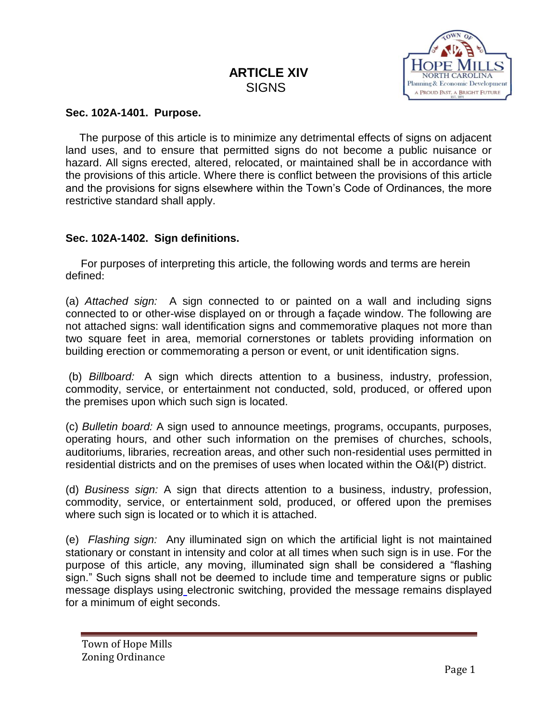# **ARTICLE XIV** SIGNS



#### **Sec. 102A-1401. Purpose.**

 The purpose of this article is to minimize any detrimental effects of signs on adjacent land uses, and to ensure that permitted signs do not become a public nuisance or hazard. All signs erected, altered, relocated, or maintained shall be in accordance with the provisions of this article. Where there is conflict between the provisions of this article and the provisions for signs elsewhere within the Town's Code of Ordinances, the more restrictive standard shall apply.

#### **Sec. 102A-1402. Sign definitions.**

 For purposes of interpreting this article, the following words and terms are herein defined:

(a) *Attached sign:* A sign connected to or painted on a wall and including signs connected to or other-wise displayed on or through a façade window. The following are not attached signs: wall identification signs and commemorative plaques not more than two square feet in area, memorial cornerstones or tablets providing information on building erection or commemorating a person or event, or unit identification signs.

(b) *Billboard:* A sign which directs attention to a business, industry, profession, commodity, service, or entertainment not conducted, sold, produced, or offered upon the premises upon which such sign is located.

(c) *Bulletin board:* A sign used to announce meetings, programs, occupants, purposes, operating hours, and other such information on the premises of churches, schools, auditoriums, libraries, recreation areas, and other such non-residential uses permitted in residential districts and on the premises of uses when located within the O&I(P) district.

(d) *Business sign:* A sign that directs attention to a business, industry, profession, commodity, service, or entertainment sold, produced, or offered upon the premises where such sign is located or to which it is attached.

(e) *Flashing sign:* Any illuminated sign on which the artificial light is not maintained stationary or constant in intensity and color at all times when such sign is in use. For the purpose of this article, any moving, illuminated sign shall be considered a "flashing sign." Such signs shall not be deemed to include time and temperature signs or public message displays using electronic switching, provided the message remains displayed for a minimum of eight seconds.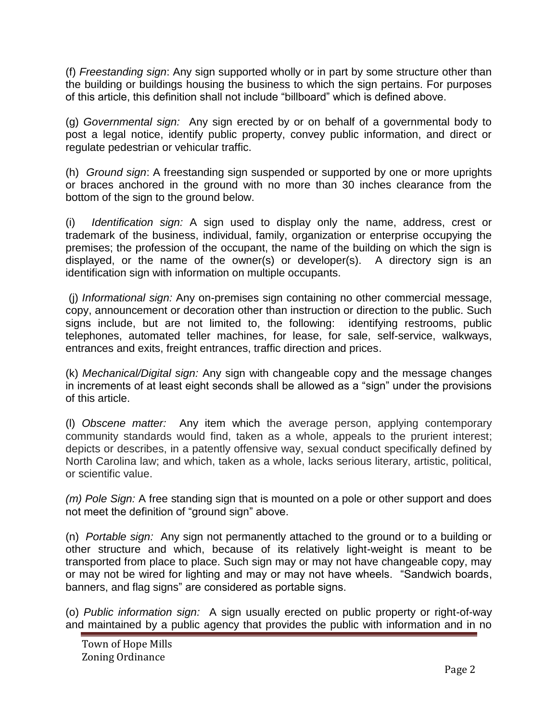(f) *Freestanding sign*: Any sign supported wholly or in part by some structure other than the building or buildings housing the business to which the sign pertains. For purposes of this article, this definition shall not include "billboard" which is defined above.

(g) *Governmental sign:* Any sign erected by or on behalf of a governmental body to post a legal notice, identify public property, convey public information, and direct or regulate pedestrian or vehicular traffic.

(h) *Ground sign*: A freestanding sign suspended or supported by one or more uprights or braces anchored in the ground with no more than 30 inches clearance from the bottom of the sign to the ground below.

(i) *Identification sign:* A sign used to display only the name, address, crest or trademark of the business, individual, family, organization or enterprise occupying the premises; the profession of the occupant, the name of the building on which the sign is displayed, or the name of the owner(s) or developer(s). A directory sign is an identification sign with information on multiple occupants.

(j) *Informational sign:* Any on-premises sign containing no other commercial message, copy, announcement or decoration other than instruction or direction to the public. Such signs include, but are not limited to, the following: identifying restrooms, public telephones, automated teller machines, for lease, for sale, self-service, walkways, entrances and exits, freight entrances, traffic direction and prices.

(k) *Mechanical/Digital sign:* Any sign with changeable copy and the message changes in increments of at least eight seconds shall be allowed as a "sign" under the provisions of this article.

(l) *Obscene matter:* Any item which the average person, applying contemporary community standards would find, taken as a whole, appeals to the prurient interest; depicts or describes, in a patently offensive way, sexual conduct specifically defined by North Carolina law; and which, taken as a whole, lacks serious literary, artistic, political, or scientific value.

*(m) Pole Sign:* A free standing sign that is mounted on a pole or other support and does not meet the definition of "ground sign" above.

(n) *Portable sign:* Any sign not permanently attached to the ground or to a building or other structure and which, because of its relatively light-weight is meant to be transported from place to place. Such sign may or may not have changeable copy, may or may not be wired for lighting and may or may not have wheels. "Sandwich boards, banners, and flag signs" are considered as portable signs.

(o) *Public information sign:* A sign usually erected on public property or right-of-way and maintained by a public agency that provides the public with information and in no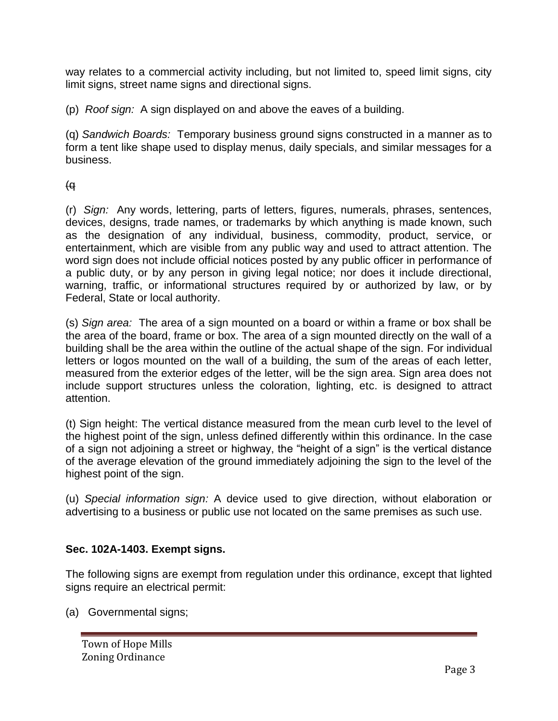way relates to a commercial activity including, but not limited to, speed limit signs, city limit signs, street name signs and directional signs.

(p) *Roof sign:* A sign displayed on and above the eaves of a building.

(q) *Sandwich Boards:* Temporary business ground signs constructed in a manner as to form a tent like shape used to display menus, daily specials, and similar messages for a business.

## (q

(r) *Sign:* Any words, lettering, parts of letters, figures, numerals, phrases, sentences, devices, designs, trade names, or trademarks by which anything is made known, such as the designation of any individual, business, commodity, product, service, or entertainment, which are visible from any public way and used to attract attention. The word sign does not include official notices posted by any public officer in performance of a public duty, or by any person in giving legal notice; nor does it include directional, warning, traffic, or informational structures required by or authorized by law, or by Federal, State or local authority.

(s) *Sign area:* The area of a sign mounted on a board or within a frame or box shall be the area of the board, frame or box. The area of a sign mounted directly on the wall of a building shall be the area within the outline of the actual shape of the sign. For individual letters or logos mounted on the wall of a building, the sum of the areas of each letter, measured from the exterior edges of the letter, will be the sign area. Sign area does not include support structures unless the coloration, lighting, etc. is designed to attract attention.

(t) Sign height: The vertical distance measured from the mean curb level to the level of the highest point of the sign, unless defined differently within this ordinance. In the case of a sign not adjoining a street or highway, the "height of a sign" is the vertical distance of the average elevation of the ground immediately adjoining the sign to the level of the highest point of the sign.

(u) *Special information sign:* A device used to give direction, without elaboration or advertising to a business or public use not located on the same premises as such use.

## **Sec. 102A-1403. Exempt signs.**

The following signs are exempt from regulation under this ordinance, except that lighted signs require an electrical permit:

(a) Governmental signs;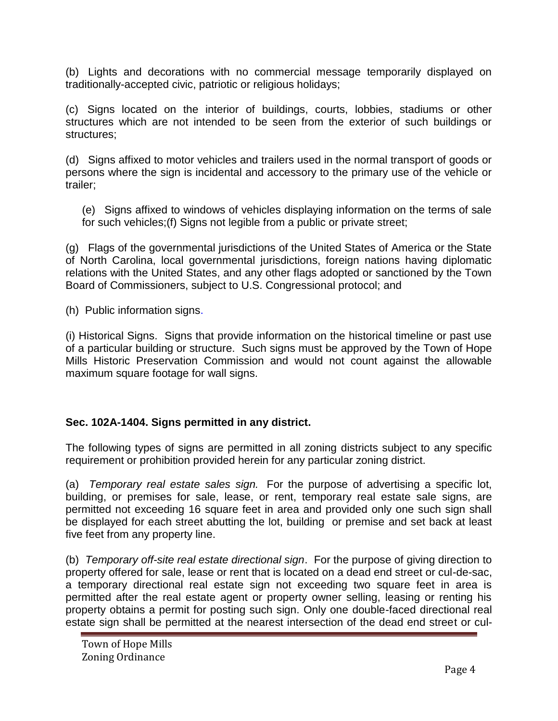(b) Lights and decorations with no commercial message temporarily displayed on traditionally-accepted civic, patriotic or religious holidays;

(c) Signs located on the interior of buildings, courts, lobbies, stadiums or other structures which are not intended to be seen from the exterior of such buildings or structures;

(d) Signs affixed to motor vehicles and trailers used in the normal transport of goods or persons where the sign is incidental and accessory to the primary use of the vehicle or trailer;

(e) Signs affixed to windows of vehicles displaying information on the terms of sale for such vehicles;(f) Signs not legible from a public or private street;

(g) Flags of the governmental jurisdictions of the United States of America or the State of North Carolina, local governmental jurisdictions, foreign nations having diplomatic relations with the United States, and any other flags adopted or sanctioned by the Town Board of Commissioners, subject to U.S. Congressional protocol; and

(h) Public information signs.

(i) Historical Signs. Signs that provide information on the historical timeline or past use of a particular building or structure. Such signs must be approved by the Town of Hope Mills Historic Preservation Commission and would not count against the allowable maximum square footage for wall signs.

## **Sec. 102A-1404. Signs permitted in any district.**

The following types of signs are permitted in all zoning districts subject to any specific requirement or prohibition provided herein for any particular zoning district.

(a) *Temporary real estate sales sign.* For the purpose of advertising a specific lot, building, or premises for sale, lease, or rent, temporary real estate sale signs, are permitted not exceeding 16 square feet in area and provided only one such sign shall be displayed for each street abutting the lot, building or premise and set back at least five feet from any property line.

(b) *Temporary off-site real estate directional sign*. For the purpose of giving direction to property offered for sale, lease or rent that is located on a dead end street or cul-de-sac, a temporary directional real estate sign not exceeding two square feet in area is permitted after the real estate agent or property owner selling, leasing or renting his property obtains a permit for posting such sign. Only one double-faced directional real estate sign shall be permitted at the nearest intersection of the dead end street or cul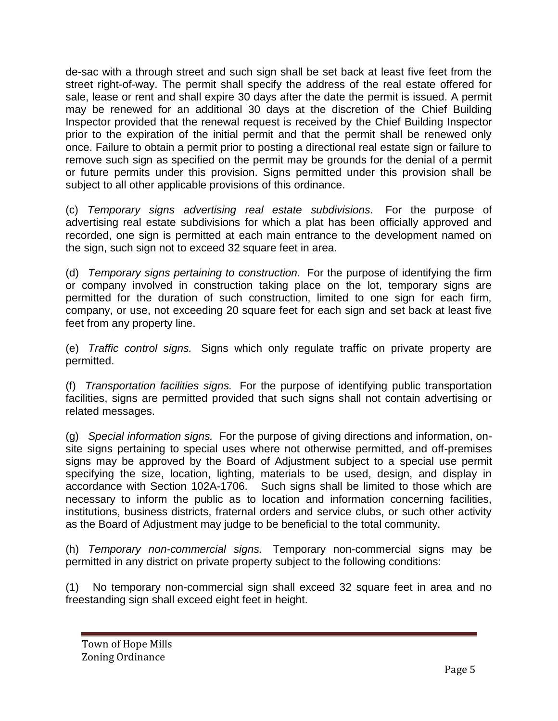de-sac with a through street and such sign shall be set back at least five feet from the street right-of-way. The permit shall specify the address of the real estate offered for sale, lease or rent and shall expire 30 days after the date the permit is issued. A permit may be renewed for an additional 30 days at the discretion of the Chief Building Inspector provided that the renewal request is received by the Chief Building Inspector prior to the expiration of the initial permit and that the permit shall be renewed only once. Failure to obtain a permit prior to posting a directional real estate sign or failure to remove such sign as specified on the permit may be grounds for the denial of a permit or future permits under this provision. Signs permitted under this provision shall be subject to all other applicable provisions of this ordinance.

(c) *Temporary signs advertising real estate subdivisions.* For the purpose of advertising real estate subdivisions for which a plat has been officially approved and recorded, one sign is permitted at each main entrance to the development named on the sign, such sign not to exceed 32 square feet in area.

(d) *Temporary signs pertaining to construction.* For the purpose of identifying the firm or company involved in construction taking place on the lot, temporary signs are permitted for the duration of such construction, limited to one sign for each firm, company, or use, not exceeding 20 square feet for each sign and set back at least five feet from any property line.

(e) *Traffic control signs.* Signs which only regulate traffic on private property are permitted.

(f) *Transportation facilities signs.* For the purpose of identifying public transportation facilities, signs are permitted provided that such signs shall not contain advertising or related messages.

(g) *Special information signs.* For the purpose of giving directions and information, onsite signs pertaining to special uses where not otherwise permitted, and off-premises signs may be approved by the Board of Adjustment subject to a special use permit specifying the size, location, lighting, materials to be used, design, and display in accordance with Section 102A-1706. Such signs shall be limited to those which are necessary to inform the public as to location and information concerning facilities, institutions, business districts, fraternal orders and service clubs, or such other activity as the Board of Adjustment may judge to be beneficial to the total community.

(h) *Temporary non-commercial signs.* Temporary non-commercial signs may be permitted in any district on private property subject to the following conditions:

(1) No temporary non-commercial sign shall exceed 32 square feet in area and no freestanding sign shall exceed eight feet in height.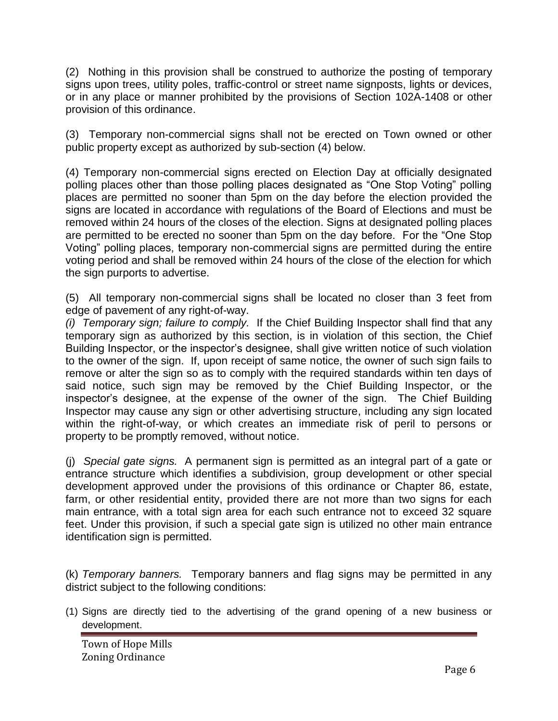(2) Nothing in this provision shall be construed to authorize the posting of temporary signs upon trees, utility poles, traffic-control or street name signposts, lights or devices, or in any place or manner prohibited by the provisions of Section 102A-1408 or other provision of this ordinance.

(3) Temporary non-commercial signs shall not be erected on Town owned or other public property except as authorized by sub-section (4) below.

(4) Temporary non-commercial signs erected on Election Day at officially designated polling places other than those polling places designated as "One Stop Voting" polling places are permitted no sooner than 5pm on the day before the election provided the signs are located in accordance with regulations of the Board of Elections and must be removed within 24 hours of the closes of the election. Signs at designated polling places are permitted to be erected no sooner than 5pm on the day before. For the "One Stop Voting" polling places, temporary non-commercial signs are permitted during the entire voting period and shall be removed within 24 hours of the close of the election for which the sign purports to advertise.

(5) All temporary non-commercial signs shall be located no closer than 3 feet from edge of pavement of any right-of-way.

*(i) Temporary sign; failure to comply.* If the Chief Building Inspector shall find that any temporary sign as authorized by this section, is in violation of this section, the Chief Building Inspector, or the inspector's designee, shall give written notice of such violation to the owner of the sign. If, upon receipt of same notice, the owner of such sign fails to remove or alter the sign so as to comply with the required standards within ten days of said notice, such sign may be removed by the Chief Building Inspector, or the inspector's designee, at the expense of the owner of the sign. The Chief Building Inspector may cause any sign or other advertising structure, including any sign located within the right-of-way, or which creates an immediate risk of peril to persons or property to be promptly removed, without notice.

(j) *Special gate signs.* A permanent sign is permitted as an integral part of a gate or entrance structure which identifies a subdivision, group development or other special development approved under the provisions of this ordinance or Chapter 86, estate, farm, or other residential entity, provided there are not more than two signs for each main entrance, with a total sign area for each such entrance not to exceed 32 square feet. Under this provision, if such a special gate sign is utilized no other main entrance identification sign is permitted.

(k) *Temporary banners.* Temporary banners and flag signs may be permitted in any district subject to the following conditions:

(1) Signs are directly tied to the advertising of the grand opening of a new business or development.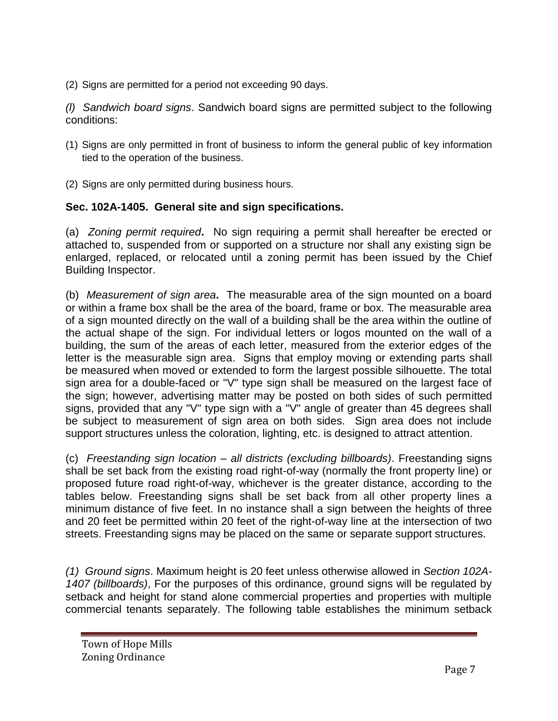(2) Signs are permitted for a period not exceeding 90 days.

*(l) Sandwich board signs*. Sandwich board signs are permitted subject to the following conditions:

- (1) Signs are only permitted in front of business to inform the general public of key information tied to the operation of the business.
- (2) Signs are only permitted during business hours.

## **Sec. 102A-1405. General site and sign specifications.**

(a) *Zoning permit required***.** No sign requiring a permit shall hereafter be erected or attached to, suspended from or supported on a structure nor shall any existing sign be enlarged, replaced, or relocated until a zoning permit has been issued by the Chief Building Inspector.

(b) *Measurement of sign area***.** The measurable area of the sign mounted on a board or within a frame box shall be the area of the board, frame or box. The measurable area of a sign mounted directly on the wall of a building shall be the area within the outline of the actual shape of the sign. For individual letters or logos mounted on the wall of a building, the sum of the areas of each letter, measured from the exterior edges of the letter is the measurable sign area. Signs that employ moving or extending parts shall be measured when moved or extended to form the largest possible silhouette. The total sign area for a double-faced or "V" type sign shall be measured on the largest face of the sign; however, advertising matter may be posted on both sides of such permitted signs, provided that any "V" type sign with a "V" angle of greater than 45 degrees shall be subject to measurement of sign area on both sides. Sign area does not include support structures unless the coloration, lighting, etc. is designed to attract attention.

(c) *Freestanding sign location – all districts (excluding billboards)*. Freestanding signs shall be set back from the existing road right-of-way (normally the front property line) or proposed future road right-of-way, whichever is the greater distance, according to the tables below. Freestanding signs shall be set back from all other property lines a minimum distance of five feet. In no instance shall a sign between the heights of three and 20 feet be permitted within 20 feet of the right-of-way line at the intersection of two streets. Freestanding signs may be placed on the same or separate support structures.

*(1) Ground signs*. Maximum height is 20 feet unless otherwise allowed in *Section 102A-1407 (billboards)*, For the purposes of this ordinance, ground signs will be regulated by setback and height for stand alone commercial properties and properties with multiple commercial tenants separately. The following table establishes the minimum setback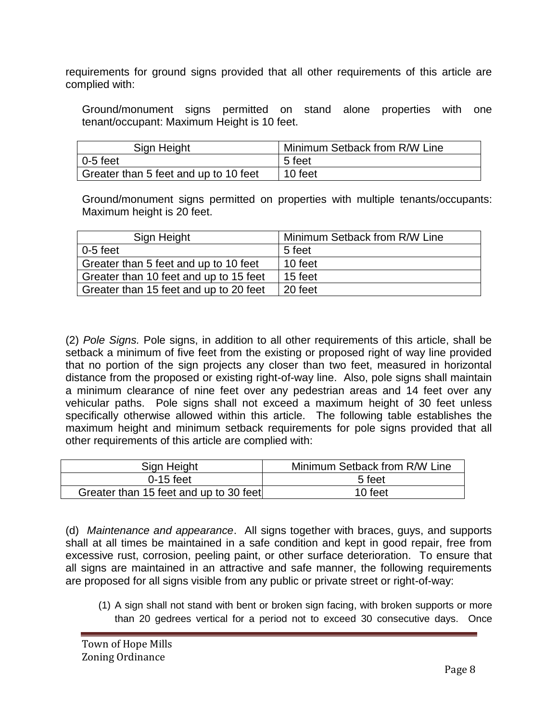requirements for ground signs provided that all other requirements of this article are complied with:

Ground/monument signs permitted on stand alone properties with one tenant/occupant: Maximum Height is 10 feet.

| Sign Height                           | Minimum Setback from R/W Line |
|---------------------------------------|-------------------------------|
| $\overline{0}$ -5 feet                | 5 feet                        |
| Greater than 5 feet and up to 10 feet | 10 feet                       |

Ground/monument signs permitted on properties with multiple tenants/occupants: Maximum height is 20 feet.

| Sign Height                            | Minimum Setback from R/W Line |
|----------------------------------------|-------------------------------|
| $0-5$ feet                             | 5 feet                        |
| Greater than 5 feet and up to 10 feet  | 10 feet                       |
| Greater than 10 feet and up to 15 feet | 15 feet                       |
| Greater than 15 feet and up to 20 feet | 20 feet                       |

(2) *Pole Signs.* Pole signs, in addition to all other requirements of this article, shall be setback a minimum of five feet from the existing or proposed right of way line provided that no portion of the sign projects any closer than two feet, measured in horizontal distance from the proposed or existing right-of-way line. Also, pole signs shall maintain a minimum clearance of nine feet over any pedestrian areas and 14 feet over any vehicular paths. Pole signs shall not exceed a maximum height of 30 feet unless specifically otherwise allowed within this article. The following table establishes the maximum height and minimum setback requirements for pole signs provided that all other requirements of this article are complied with:

| Sign Height                            | Minimum Setback from R/W Line |
|----------------------------------------|-------------------------------|
| $0-15$ feet                            | 5 feet                        |
| Greater than 15 feet and up to 30 feet | 10 feet                       |

(d) *Maintenance and appearance*. All signs together with braces, guys, and supports shall at all times be maintained in a safe condition and kept in good repair, free from excessive rust, corrosion, peeling paint, or other surface deterioration. To ensure that all signs are maintained in an attractive and safe manner, the following requirements are proposed for all signs visible from any public or private street or right-of-way:

(1) A sign shall not stand with bent or broken sign facing, with broken supports or more than 20 gedrees vertical for a period not to exceed 30 consecutive days. Once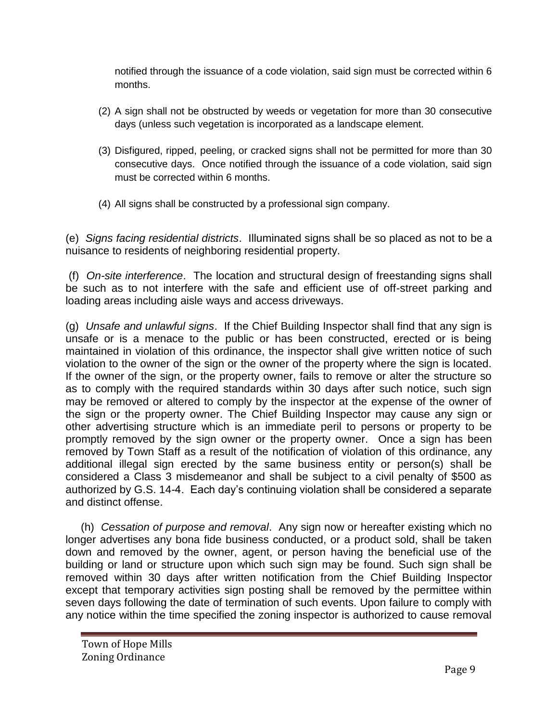notified through the issuance of a code violation, said sign must be corrected within 6 months.

- (2) A sign shall not be obstructed by weeds or vegetation for more than 30 consecutive days (unless such vegetation is incorporated as a landscape element.
- (3) Disfigured, ripped, peeling, or cracked signs shall not be permitted for more than 30 consecutive days. Once notified through the issuance of a code violation, said sign must be corrected within 6 months.
- (4) All signs shall be constructed by a professional sign company.

(e) *Signs facing residential districts*. Illuminated signs shall be so placed as not to be a nuisance to residents of neighboring residential property.

(f) *On-site interference*. The location and structural design of freestanding signs shall be such as to not interfere with the safe and efficient use of off-street parking and loading areas including aisle ways and access driveways.

(g) *Unsafe and unlawful signs*. If the Chief Building Inspector shall find that any sign is unsafe or is a menace to the public or has been constructed, erected or is being maintained in violation of this ordinance, the inspector shall give written notice of such violation to the owner of the sign or the owner of the property where the sign is located. If the owner of the sign, or the property owner, fails to remove or alter the structure so as to comply with the required standards within 30 days after such notice, such sign may be removed or altered to comply by the inspector at the expense of the owner of the sign or the property owner. The Chief Building Inspector may cause any sign or other advertising structure which is an immediate peril to persons or property to be promptly removed by the sign owner or the property owner. Once a sign has been removed by Town Staff as a result of the notification of violation of this ordinance, any additional illegal sign erected by the same business entity or person(s) shall be considered a Class 3 misdemeanor and shall be subject to a civil penalty of \$500 as authorized by G.S. 14-4. Each day's continuing violation shall be considered a separate and distinct offense.

(h) *Cessation of purpose and removal*. Any sign now or hereafter existing which no longer advertises any bona fide business conducted, or a product sold, shall be taken down and removed by the owner, agent, or person having the beneficial use of the building or land or structure upon which such sign may be found. Such sign shall be removed within 30 days after written notification from the Chief Building Inspector except that temporary activities sign posting shall be removed by the permittee within seven days following the date of termination of such events. Upon failure to comply with any notice within the time specified the zoning inspector is authorized to cause removal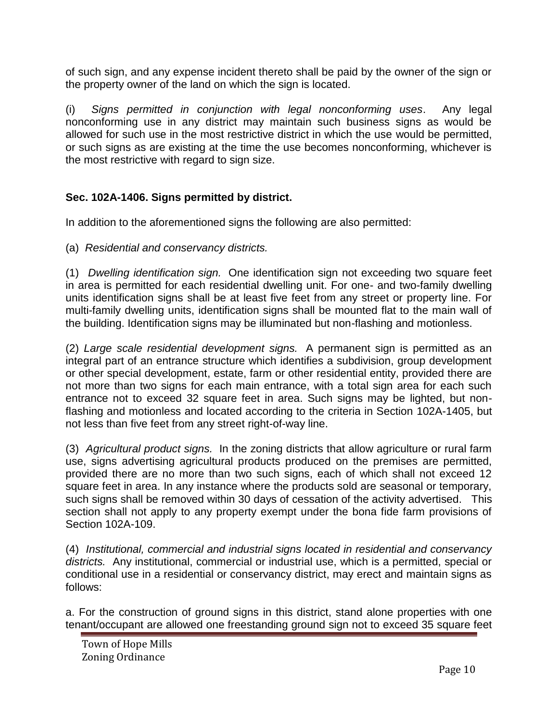of such sign, and any expense incident thereto shall be paid by the owner of the sign or the property owner of the land on which the sign is located.

(i) *Signs permitted in conjunction with legal nonconforming uses*. Any legal nonconforming use in any district may maintain such business signs as would be allowed for such use in the most restrictive district in which the use would be permitted, or such signs as are existing at the time the use becomes nonconforming, whichever is the most restrictive with regard to sign size.

## **Sec. 102A-1406. Signs permitted by district.**

In addition to the aforementioned signs the following are also permitted:

(a) *Residential and conservancy districts.*

(1) *Dwelling identification sign.* One identification sign not exceeding two square feet in area is permitted for each residential dwelling unit. For one- and two-family dwelling units identification signs shall be at least five feet from any street or property line. For multi-family dwelling units, identification signs shall be mounted flat to the main wall of the building. Identification signs may be illuminated but non-flashing and motionless.

(2) *Large scale residential development signs.* A permanent sign is permitted as an integral part of an entrance structure which identifies a subdivision, group development or other special development, estate, farm or other residential entity, provided there are not more than two signs for each main entrance, with a total sign area for each such entrance not to exceed 32 square feet in area. Such signs may be lighted, but nonflashing and motionless and located according to the criteria in Section 102A-1405, but not less than five feet from any street right-of-way line.

(3) *Agricultural product signs.* In the zoning districts that allow agriculture or rural farm use, signs advertising agricultural products produced on the premises are permitted, provided there are no more than two such signs, each of which shall not exceed 12 square feet in area. In any instance where the products sold are seasonal or temporary, such signs shall be removed within 30 days of cessation of the activity advertised. This section shall not apply to any property exempt under the bona fide farm provisions of Section 102A-109.

(4) *Institutional, commercial and industrial signs located in residential and conservancy districts.* Any institutional, commercial or industrial use, which is a permitted, special or conditional use in a residential or conservancy district, may erect and maintain signs as follows:

a. For the construction of ground signs in this district, stand alone properties with one tenant/occupant are allowed one freestanding ground sign not to exceed 35 square feet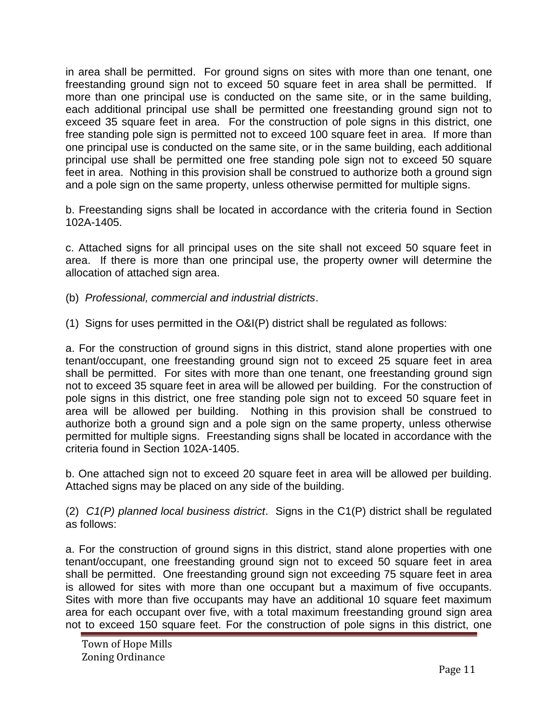in area shall be permitted. For ground signs on sites with more than one tenant, one freestanding ground sign not to exceed 50 square feet in area shall be permitted. If more than one principal use is conducted on the same site, or in the same building, each additional principal use shall be permitted one freestanding ground sign not to exceed 35 square feet in area. For the construction of pole signs in this district, one free standing pole sign is permitted not to exceed 100 square feet in area. If more than one principal use is conducted on the same site, or in the same building, each additional principal use shall be permitted one free standing pole sign not to exceed 50 square feet in area. Nothing in this provision shall be construed to authorize both a ground sign and a pole sign on the same property, unless otherwise permitted for multiple signs.

b. Freestanding signs shall be located in accordance with the criteria found in Section 102A-1405.

c. Attached signs for all principal uses on the site shall not exceed 50 square feet in area. If there is more than one principal use, the property owner will determine the allocation of attached sign area.

- (b) *Professional, commercial and industrial districts*.
- (1) Signs for uses permitted in the O&I(P) district shall be regulated as follows:

a. For the construction of ground signs in this district, stand alone properties with one tenant/occupant, one freestanding ground sign not to exceed 25 square feet in area shall be permitted. For sites with more than one tenant, one freestanding ground sign not to exceed 35 square feet in area will be allowed per building. For the construction of pole signs in this district, one free standing pole sign not to exceed 50 square feet in area will be allowed per building. Nothing in this provision shall be construed to authorize both a ground sign and a pole sign on the same property, unless otherwise permitted for multiple signs. Freestanding signs shall be located in accordance with the criteria found in Section 102A-1405.

b. One attached sign not to exceed 20 square feet in area will be allowed per building. Attached signs may be placed on any side of the building.

(2) *C1(P) planned local business district*. Signs in the C1(P) district shall be regulated as follows:

a. For the construction of ground signs in this district, stand alone properties with one tenant/occupant, one freestanding ground sign not to exceed 50 square feet in area shall be permitted. One freestanding ground sign not exceeding 75 square feet in area is allowed for sites with more than one occupant but a maximum of five occupants. Sites with more than five occupants may have an additional 10 square feet maximum area for each occupant over five, with a total maximum freestanding ground sign area not to exceed 150 square feet. For the construction of pole signs in this district, one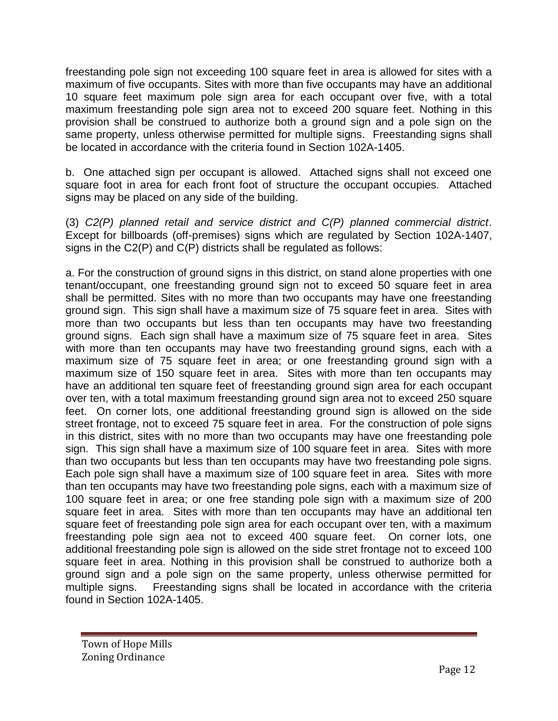freestanding pole sign not exceeding 100 square feet in area is allowed for sites with a maximum of five occupants. Sites with more than five occupants may have an additional 10 square feet maximum pole sign area for each occupant over five, with a total maximum freestanding pole sign area not to exceed 200 square feet. Nothing in this provision shall be construed to authorize both a ground sign and a pole sign on the same property, unless otherwise permitted for multiple signs. Freestanding signs shall be located in accordance with the criteria found in Section 102A-1405.

b. One attached sign per occupant is allowed. Attached signs shall not exceed one square foot in area for each front foot of structure the occupant occupies. Attached signs may be placed on any side of the building.

(3) *C2(P) planned retail and service district and C(P) planned commercial district*. Except for billboards (off-premises) signs which are regulated by Section 102A-1407, signs in the C2(P) and C(P) districts shall be regulated as follows:

a. For the construction of ground signs in this district, on stand alone properties with one tenant/occupant, one freestanding ground sign not to exceed 50 square feet in area shall be permitted. Sites with no more than two occupants may have one freestanding ground sign. This sign shall have a maximum size of 75 square feet in area. Sites with more than two occupants but less than ten occupants may have two freestanding ground signs. Each sign shall have a maximum size of 75 square feet in area. Sites with more than ten occupants may have two freestanding ground signs, each with a maximum size of 75 square feet in area; or one freestanding ground sign with a maximum size of 150 square feet in area. Sites with more than ten occupants may have an additional ten square feet of freestanding ground sign area for each occupant over ten, with a total maximum freestanding ground sign area not to exceed 250 square feet. On corner lots, one additional freestanding ground sign is allowed on the side street frontage, not to exceed 75 square feet in area. For the construction of pole signs in this district, sites with no more than two occupants may have one freestanding pole sign. This sign shall have a maximum size of 100 square feet in area. Sites with more than two occupants but less than ten occupants may have two freestanding pole signs. Each pole sign shall have a maximum size of 100 square feet in area. Sites with more than ten occupants may have two freestanding pole signs, each with a maximum size of 100 square feet in area; or one free standing pole sign with a maximum size of 200 square feet in area. Sites with more than ten occupants may have an additional ten square feet of freestanding pole sign area for each occupant over ten, with a maximum freestanding pole sign aea not to exceed 400 square feet. On corner lots, one additional freestanding pole sign is allowed on the side stret frontage not to exceed 100 square feet in area. Nothing in this provision shall be construed to authorize both a ground sign and a pole sign on the same property, unless otherwise permitted for multiple signs. Freestanding signs shall be located in accordance with the criteria found in Section 102A-1405.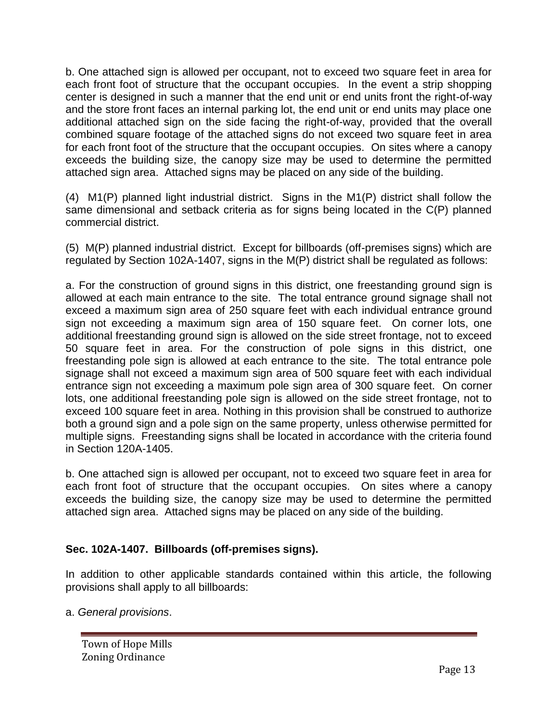b. One attached sign is allowed per occupant, not to exceed two square feet in area for each front foot of structure that the occupant occupies. In the event a strip shopping center is designed in such a manner that the end unit or end units front the right-of-way and the store front faces an internal parking lot, the end unit or end units may place one additional attached sign on the side facing the right-of-way, provided that the overall combined square footage of the attached signs do not exceed two square feet in area for each front foot of the structure that the occupant occupies. On sites where a canopy exceeds the building size, the canopy size may be used to determine the permitted attached sign area. Attached signs may be placed on any side of the building.

(4) M1(P) planned light industrial district. Signs in the M1(P) district shall follow the same dimensional and setback criteria as for signs being located in the C(P) planned commercial district.

(5) M(P) planned industrial district. Except for billboards (off-premises signs) which are regulated by Section 102A-1407, signs in the M(P) district shall be regulated as follows:

a. For the construction of ground signs in this district, one freestanding ground sign is allowed at each main entrance to the site. The total entrance ground signage shall not exceed a maximum sign area of 250 square feet with each individual entrance ground sign not exceeding a maximum sign area of 150 square feet. On corner lots, one additional freestanding ground sign is allowed on the side street frontage, not to exceed 50 square feet in area. For the construction of pole signs in this district, one freestanding pole sign is allowed at each entrance to the site. The total entrance pole signage shall not exceed a maximum sign area of 500 square feet with each individual entrance sign not exceeding a maximum pole sign area of 300 square feet. On corner lots, one additional freestanding pole sign is allowed on the side street frontage, not to exceed 100 square feet in area. Nothing in this provision shall be construed to authorize both a ground sign and a pole sign on the same property, unless otherwise permitted for multiple signs. Freestanding signs shall be located in accordance with the criteria found in Section 120A-1405.

b. One attached sign is allowed per occupant, not to exceed two square feet in area for each front foot of structure that the occupant occupies. On sites where a canopy exceeds the building size, the canopy size may be used to determine the permitted attached sign area. Attached signs may be placed on any side of the building.

## **Sec. 102A-1407. Billboards (off-premises signs).**

In addition to other applicable standards contained within this article, the following provisions shall apply to all billboards:

a. *General provisions*.

Town of Hope Mills Zoning Ordinance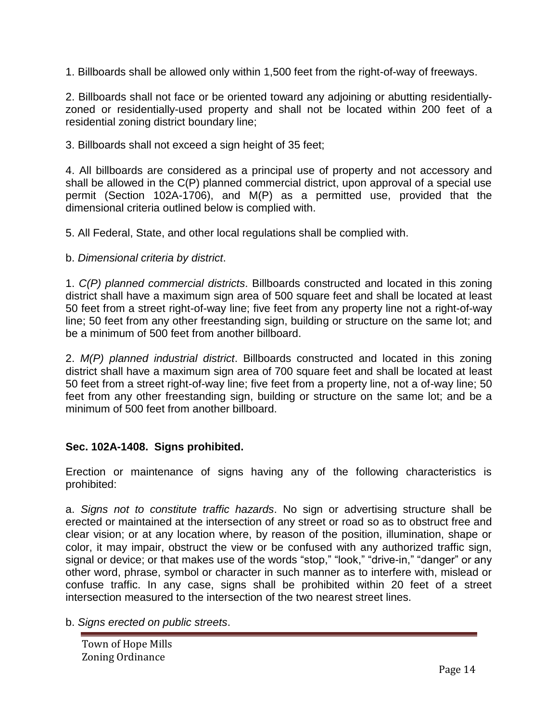1. Billboards shall be allowed only within 1,500 feet from the right-of-way of freeways.

2. Billboards shall not face or be oriented toward any adjoining or abutting residentiallyzoned or residentially-used property and shall not be located within 200 feet of a residential zoning district boundary line;

3. Billboards shall not exceed a sign height of 35 feet;

4. All billboards are considered as a principal use of property and not accessory and shall be allowed in the C(P) planned commercial district, upon approval of a special use permit (Section 102A-1706), and M(P) as a permitted use, provided that the dimensional criteria outlined below is complied with.

5. All Federal, State, and other local regulations shall be complied with.

b. *Dimensional criteria by district*.

1. *C(P) planned commercial districts*. Billboards constructed and located in this zoning district shall have a maximum sign area of 500 square feet and shall be located at least 50 feet from a street right-of-way line; five feet from any property line not a right-of-way line; 50 feet from any other freestanding sign, building or structure on the same lot; and be a minimum of 500 feet from another billboard.

2. *M(P) planned industrial district*. Billboards constructed and located in this zoning district shall have a maximum sign area of 700 square feet and shall be located at least 50 feet from a street right-of-way line; five feet from a property line, not a of-way line; 50 feet from any other freestanding sign, building or structure on the same lot; and be a minimum of 500 feet from another billboard.

# **Sec. 102A-1408. Signs prohibited.**

Erection or maintenance of signs having any of the following characteristics is prohibited:

a. *Signs not to constitute traffic hazards*. No sign or advertising structure shall be erected or maintained at the intersection of any street or road so as to obstruct free and clear vision; or at any location where, by reason of the position, illumination, shape or color, it may impair, obstruct the view or be confused with any authorized traffic sign, signal or device; or that makes use of the words "stop," "look," "drive-in," "danger" or any other word, phrase, symbol or character in such manner as to interfere with, mislead or confuse traffic. In any case, signs shall be prohibited within 20 feet of a street intersection measured to the intersection of the two nearest street lines.

b. *Signs erected on public streets*.

Town of Hope Mills Zoning Ordinance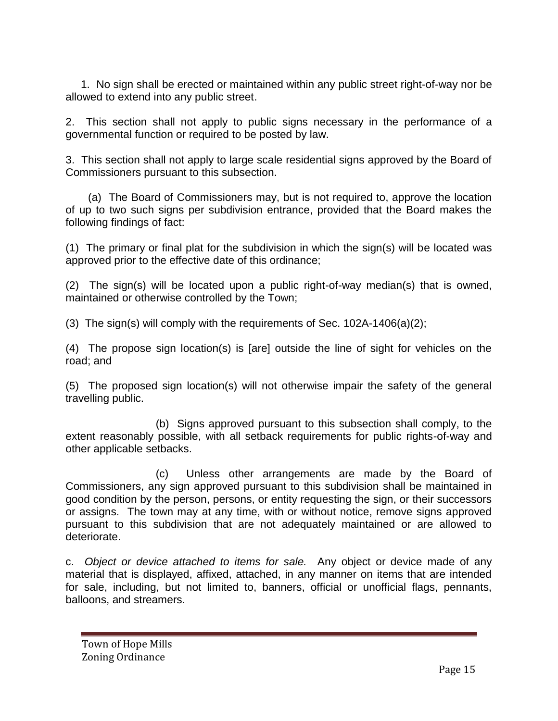1. No sign shall be erected or maintained within any public street right-of-way nor be allowed to extend into any public street.

2. This section shall not apply to public signs necessary in the performance of a governmental function or required to be posted by law.

3. This section shall not apply to large scale residential signs approved by the Board of Commissioners pursuant to this subsection.

 (a) The Board of Commissioners may, but is not required to, approve the location of up to two such signs per subdivision entrance, provided that the Board makes the following findings of fact:

(1) The primary or final plat for the subdivision in which the sign(s) will be located was approved prior to the effective date of this ordinance;

(2) The sign(s) will be located upon a public right-of-way median(s) that is owned, maintained or otherwise controlled by the Town;

(3) The sign(s) will comply with the requirements of Sec.  $102A-1406(a)(2)$ ;

(4) The propose sign location(s) is [are] outside the line of sight for vehicles on the road; and

(5) The proposed sign location(s) will not otherwise impair the safety of the general travelling public.

(b) Signs approved pursuant to this subsection shall comply, to the extent reasonably possible, with all setback requirements for public rights-of-way and other applicable setbacks.

(c) Unless other arrangements are made by the Board of Commissioners, any sign approved pursuant to this subdivision shall be maintained in good condition by the person, persons, or entity requesting the sign, or their successors or assigns. The town may at any time, with or without notice, remove signs approved pursuant to this subdivision that are not adequately maintained or are allowed to deteriorate.

c. *Object or device attached to items for sale.* Any object or device made of any material that is displayed, affixed, attached, in any manner on items that are intended for sale, including, but not limited to, banners, official or unofficial flags, pennants, balloons, and streamers.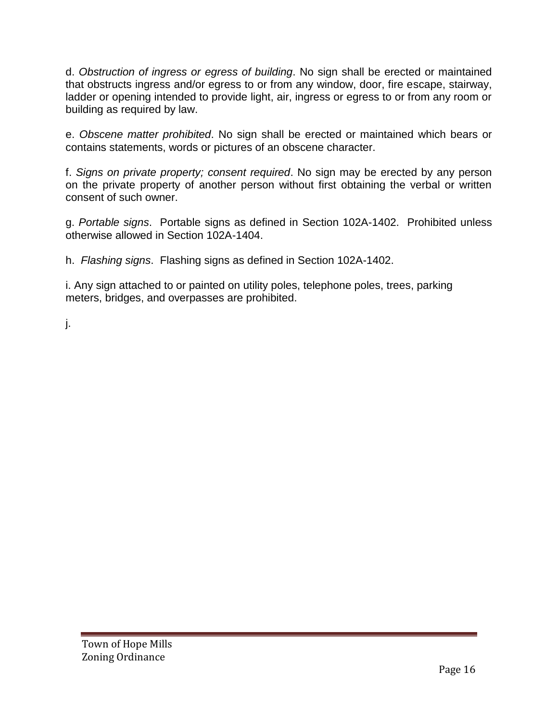d. *Obstruction of ingress or egress of building*. No sign shall be erected or maintained that obstructs ingress and/or egress to or from any window, door, fire escape, stairway, ladder or opening intended to provide light, air, ingress or egress to or from any room or building as required by law.

e. *Obscene matter prohibited*. No sign shall be erected or maintained which bears or contains statements, words or pictures of an obscene character.

f. *Signs on private property; consent required*. No sign may be erected by any person on the private property of another person without first obtaining the verbal or written consent of such owner.

g. *Portable signs*. Portable signs as defined in Section 102A-1402. Prohibited unless otherwise allowed in Section 102A-1404.

h. *Flashing signs*. Flashing signs as defined in Section 102A-1402.

i. Any sign attached to or painted on utility poles, telephone poles, trees, parking meters, bridges, and overpasses are prohibited.

j.